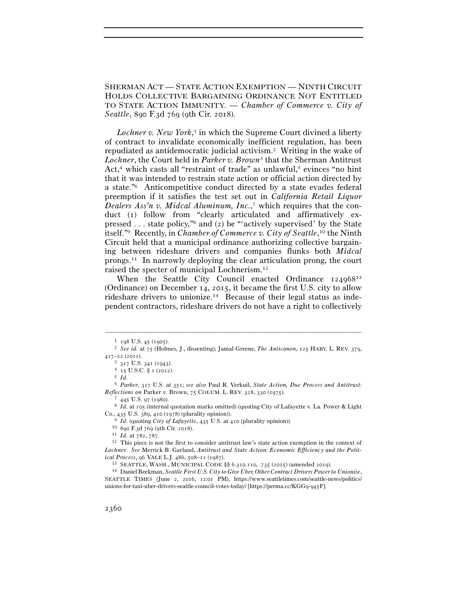SHERMAN ACT — STATE ACTION EXEMPTION — NINTH CIRCUIT HOLDS COLLECTIVE BARGAINING ORDINANCE NOT ENTITLED TO STATE ACTION IMMUNITY. — *Chamber of Commerce v. City of Seattle*, 890 F.3d 769 (9th Cir. 2018).

*Lochner v. New York*, 1 in which the Supreme Court divined a liberty of contract to invalidate economically inefficient regulation, has been repudiated as antidemocratic judicial activism.2 Writing in the wake of *Lochner*, the Court held in *Parker v. Brown*3 that the Sherman Antitrust Act,<sup>4</sup> which casts all "restraint of trade" as unlawful,<sup>5</sup> evinces "no hint that it was intended to restrain state action or official action directed by a state."6 Anticompetitive conduct directed by a state evades federal preemption if it satisfies the test set out in *California Retail Liquor Dealers Ass'n v. Midcal Aluminum, Inc.*, 7 which requires that the conduct (1) follow from "clearly articulated and affirmatively expressed . . . state policy,"8 and (2) be "'actively supervised' by the State itself."9 Recently, in *Chamber of Commerce v. City of Seattle*, 10 the Ninth Circuit held that a municipal ordinance authorizing collective bargaining between rideshare drivers and companies flunks both *Midcal* prongs.11 In narrowly deploying the clear articulation prong, the court raised the specter of municipal Lochnerism.12

When the Seattle City Council enacted Ordinance 124968<sup>13</sup> (Ordinance) on December 14, 2015, it became the first U.S. city to allow rideshare drivers to unionize.14 Because of their legal status as independent contractors, rideshare drivers do not have a right to collectively

<sup>1</sup> <sup>198</sup> U.S. 45 (<sup>1905</sup>). 2 *See id.* at 75 (Holmes, J., dissenting); Jamal Greene, *The Anticanon*, 125 HARV. L. REV. 379, <sup>417</sup>–22 (<sup>2011</sup>). 3 <sup>317</sup> U.S. 341 (<sup>1943</sup>). 4 <sup>15</sup> U.S.C. § 1 (<sup>2012</sup>). 5 *Id.*

<sup>6</sup> *Parker*, 317 U.S. at 351; *see also* Paul R. Verkuil, *State Action, Due Process and Antitrust: Reflections on* Parker v. Brown, 75 COLUM. L. REV. 328, 330 (<sup>1975</sup>). 7 <sup>445</sup> U.S. 97 (<sup>1980</sup>). 8 *Id*. at 105 (internal quotation marks omitted) (quoting City of Lafayette v. La. Power & Light

Co., 435 U.S. 389, 410 (1978) (plurality opinion)).<br>
<sup>9</sup> *Id.* (quoting *City of Lafayette*, 435 U.S. at 410 (plurality opinion)).<br>
<sup>10</sup> 890 F.3d 769 (9th Cir. 2018).<br>
<sup>11</sup> *Id.* at 782, 787.<br>
<sup>12</sup> This piece is not the f

*Lochner*. *See* Merrick B. Garland, *Antitrust and State Action: Economic Efficiency and the Polit*ical Process, 96 YALE L.J. 486, 508–12 (1987).<br><sup>13</sup> SEATTLE, WASH., MUNICIPAL CODE §§ 6.310.110, .735 (2015) (amended 2019).<br><sup>14</sup> Daniel Beekman, *Seattle First U.S. City to Give Uber, Other Contract Drivers Power to Union* 

SEATTLE TIMES (June 2, 2016, 12:01 PM), https://www.seattletimes.com/seattle-news/politics/ unions-for-taxi-uber-drivers-seattle-council-votes-today/ [https://perma.cc/KGG9-945F].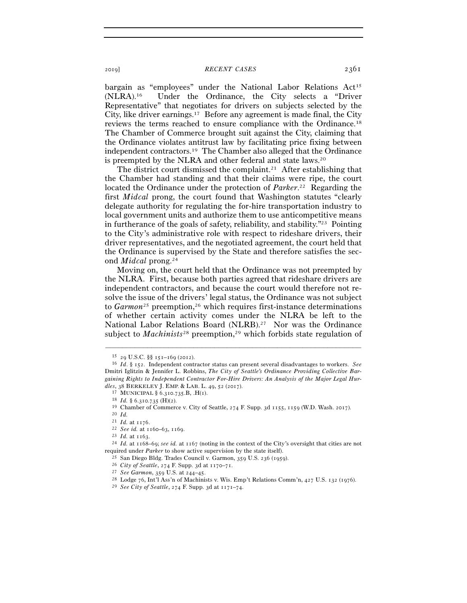bargain as "employees" under the National Labor Relations Act<sup>15</sup> (NLRA).16 Under the Ordinance, the City selects a "Driver Representative" that negotiates for drivers on subjects selected by the City, like driver earnings.17 Before any agreement is made final, the City reviews the terms reached to ensure compliance with the Ordinance.18 The Chamber of Commerce brought suit against the City, claiming that the Ordinance violates antitrust law by facilitating price fixing between independent contractors.19 The Chamber also alleged that the Ordinance is preempted by the NLRA and other federal and state laws.20

The district court dismissed the complaint.<sup>21</sup> After establishing that the Chamber had standing and that their claims were ripe, the court located the Ordinance under the protection of *Parker*. 22 Regarding the first *Midcal* prong, the court found that Washington statutes "clearly delegate authority for regulating the for-hire transportation industry to local government units and authorize them to use anticompetitive means in furtherance of the goals of safety, reliability, and stability."23 Pointing to the City's administrative role with respect to rideshare drivers, their driver representatives, and the negotiated agreement, the court held that the Ordinance is supervised by the State and therefore satisfies the second *Midcal* prong.24

Moving on, the court held that the Ordinance was not preempted by the NLRA. First, because both parties agreed that rideshare drivers are independent contractors, and because the court would therefore not resolve the issue of the drivers' legal status, the Ordinance was not subject to *Garmon*<sup>25</sup> preemption,<sup>26</sup> which requires first-instance determinations of whether certain activity comes under the NLRA be left to the National Labor Relations Board (NLRB).27 Nor was the Ordinance subject to *Machinists*<sup>28</sup> preemption,<sup>29</sup> which forbids state regulation of

<sup>15</sup> <sup>29</sup> U.S.C. §§ 151–169 (<sup>2012</sup>). 16 *Id*. § 152. Independent contractor status can present several disadvantages to workers. *See* Dmitri Iglitzin & Jennifer L. Robbins, *The City of Seattle's Ordinance Providing Collective Bargaining Rights to Independent Contractor For-Hire Drivers: An Analysis of the Major Legal Hur*dles, 38 BERKELEY J. EMP. & LAB. L. 49, 52 (2017).<br>
<sup>17</sup> MUNICIPAL § 6.310.735.B, .H(1).<br>
<sup>18</sup> Id. § 6.310.735 (H)(2).<br>
<sup>19</sup> Chamber of Commerce v. City of Seattle, 274 F. Supp. 3d 1155, 1159 (W.D. Wash. 2017).<br>
<sup>20</sup> Id.<br>

<sup>21</sup> *Id.* at <sup>1176</sup>. 22 *See id.* at 1160–63, <sup>1169</sup>. 23 *Id.* at <sup>1163</sup>. 24 *Id.* at 1168–69; *see id.* at 1167 (noting in the context of the City's oversight that cities are not required under Parker to show active supervision by the state itself).<br>
<sup>25</sup> San Diego Bldg. Trades Council v. Garmon, 359 U.S. 236 (1959).<br>
<sup>26</sup> City of Seattle, 274 F. Supp. 3d at 1170–71.<br>
<sup>27</sup> See Garmon, 359 U.S. at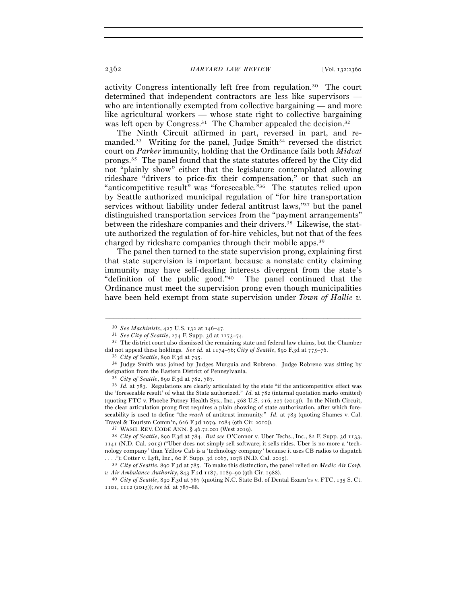2362 *HARVARD LAW REVIEW* [Vol. 132:<sup>2360</sup>

activity Congress intentionally left free from regulation.30 The court determined that independent contractors are less like supervisors who are intentionally exempted from collective bargaining — and more like agricultural workers — whose state right to collective bargaining was left open by Congress.<sup>31</sup> The Chamber appealed the decision.<sup>32</sup>

The Ninth Circuit affirmed in part, reversed in part, and remanded.<sup>33</sup> Writing for the panel, Judge Smith<sup>34</sup> reversed the district court on *Parker* immunity, holding that the Ordinance fails both *Midcal* prongs.35 The panel found that the state statutes offered by the City did not "plainly show" either that the legislature contemplated allowing rideshare "drivers to price-fix their compensation," or that such an "anticompetitive result" was "foreseeable."36 The statutes relied upon by Seattle authorized municipal regulation of "for hire transportation services without liability under federal antitrust laws,"37 but the panel distinguished transportation services from the "payment arrangements" between the rideshare companies and their drivers.<sup>38</sup> Likewise, the statute authorized the regulation of for-hire vehicles, but not that of the fees charged by rideshare companies through their mobile apps.39

The panel then turned to the state supervision prong, explaining first that state supervision is important because a nonstate entity claiming immunity may have self-dealing interests divergent from the state's "definition of the public good."40 The panel continued that the Ordinance must meet the supervision prong even though municipalities have been held exempt from state supervision under *Town of Hallie v.* 

<sup>30</sup> *See Machinists*, 427 U.S. 132 at 146–<sup>47</sup>. 31 *See City of Seattle*, 274 F. Supp. 3d at 1173–<sup>74</sup>. 32 The district court also dismissed the remaining state and federal law claims, but the Chamber did not appeal these holdings. See id. at  $1174-76$ ; City of Seattle, 890 F.3d at  $775-76$ .<br><sup>33</sup> City of Seattle, 890 F.3d at 795.<br><sup>34</sup> Judge Smith was joined by Judges Murguia and Robreno. Judge Robreno was sitting by

designation from the Eastern District of Pennsylvania.<br><sup>35</sup> *City of Seattle*, 890 F.3d at 782, 787.<br><sup>36</sup> *Id.* at 783. Regulations are clearly articulated by the state "if the anticompetitive effect was

the 'foreseeable result' of what the State authorized." *Id.* at 782 (internal quotation marks omitted) (quoting FTC v. Phoebe Putney Health Sys., Inc., 568 U.S. 216, 227 (2013)). In the Ninth Circuit, the clear articulation prong first requires a plain showing of state authorization, after which foreseeability is used to define "the *reach* of antitrust immunity." *Id.* at 783 (quoting Shames v. Cal. Travel & Tourism Comm'n, 626 F.3d 1079, 1084 (9th Cir. <sup>2010</sup>)). 37 WASH. REV. CODE ANN. § 46.72.001 (West <sup>2019</sup>). 38 *City of Seattle*, 890 F.3d at 784. *But see* O'Connor v. Uber Techs., Inc., 82 F. Supp. 3d 1133,

<sup>1141</sup> (N.D. Cal. 2015) ("Uber does not simply sell software; it sells rides. Uber is no more a 'technology company' than Yellow Cab is a 'technology company' because it uses CB radios to dispatch

<sup>. . . .&</sup>quot;); Cotter v. Lyft, Inc., 60 F. Supp. 3d 1067, 1078 (N.D. Cal. <sup>2015</sup>). 39 *City of Seattle*, 890 F.3d at 785. To make this distinction, the panel relied on *Medic Air Corp. v. Air Ambulance Authority*, 843 F.2d 1187, 1189–90 (9th Cir. <sup>1988</sup>). 40 *City of Seattle*, 890 F.3d at 787 (quoting N.C. State Bd. of Dental Exam'rs v. FTC, 135 S. Ct.

<sup>1101</sup>, 1112 (2015)); *see id.* at 787–88.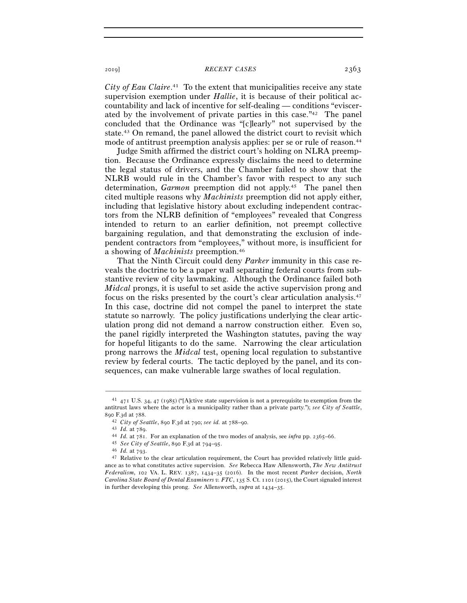City of Eau Claire.<sup>41</sup> To the extent that municipalities receive any state supervision exemption under *Hallie*, it is because of their political accountability and lack of incentive for self-dealing — conditions "eviscerated by the involvement of private parties in this case."42 The panel concluded that the Ordinance was "[c]learly" not supervised by the state.43 On remand, the panel allowed the district court to revisit which mode of antitrust preemption analysis applies: per se or rule of reason.<sup>44</sup>

Judge Smith affirmed the district court's holding on NLRA preemption. Because the Ordinance expressly disclaims the need to determine the legal status of drivers, and the Chamber failed to show that the NLRB would rule in the Chamber's favor with respect to any such determination, *Garmon* preemption did not apply.45 The panel then cited multiple reasons why *Machinists* preemption did not apply either, including that legislative history about excluding independent contractors from the NLRB definition of "employees" revealed that Congress intended to return to an earlier definition, not preempt collective bargaining regulation, and that demonstrating the exclusion of independent contractors from "employees," without more, is insufficient for a showing of *Machinists* preemption.46

That the Ninth Circuit could deny *Parker* immunity in this case reveals the doctrine to be a paper wall separating federal courts from substantive review of city lawmaking. Although the Ordinance failed both *Midcal* prongs, it is useful to set aside the active supervision prong and focus on the risks presented by the court's clear articulation analysis.47 In this case, doctrine did not compel the panel to interpret the state statute so narrowly. The policy justifications underlying the clear articulation prong did not demand a narrow construction either. Even so, the panel rigidly interpreted the Washington statutes, paving the way for hopeful litigants to do the same. Narrowing the clear articulation prong narrows the *Midcal* test, opening local regulation to substantive review by federal courts. The tactic deployed by the panel, and its consequences, can make vulnerable large swathes of local regulation.

<sup>41</sup> 471 U.S. 34, 47 (1985) ("[A]ctive state supervision is not a prerequisite to exemption from the antitrust laws where the actor is a municipality rather than a private party."); *see City of Seattle*, 890 F.3d at 788.<br>
<sup>42</sup> City of Seattle, 890 F.3d at 790; see id. at 788–90.<br>
<sup>43</sup> Id. at 789.<br>
<sup>44</sup> Id. at 781. For an explanation of the two modes of analysis, see *infra* pp. 2365–66.<br>
<sup>45</sup> See City of Seattle, 890 F.3d

ance as to what constitutes active supervision. *See* Rebecca Haw Allensworth, *The New Antitrust Federalism*, 102 VA. L. REV. 1387, 1434–35 (2016). In the most recent *Parker* decision, *North Carolina State Board of Dental Examiners v. FTC*, 135 S. Ct. 1101 (2015), the Court signaled interest in further developing this prong. *See* Allensworth, *supra* at 1434–35.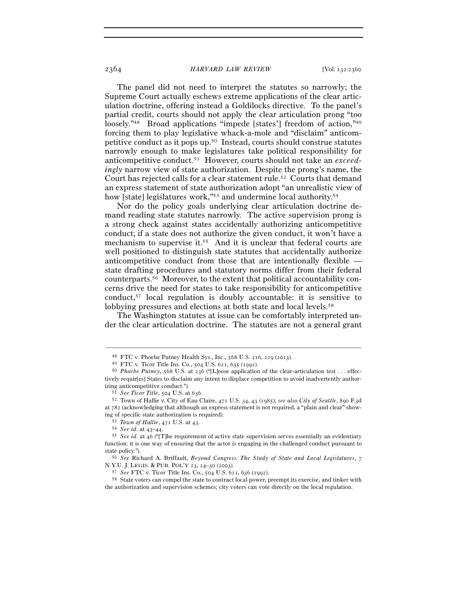#### 2364 *HARVARD LAW REVIEW* [Vol. 132:<sup>2360</sup>

The panel did not need to interpret the statutes so narrowly; the Supreme Court actually eschews extreme applications of the clear articulation doctrine, offering instead a Goldilocks directive. To the panel's partial credit, courts should not apply the clear articulation prong "too loosely."<sup>48</sup> Broad applications "impede [states'] freedom of action,"<sup>49</sup> forcing them to play legislative whack-a-mole and "disclaim" anticompetitive conduct as it pops up.50 Instead, courts should construe statutes narrowly enough to make legislatures take political responsibility for anticompetitive conduct.51 However, courts should not take an *exceedingly* narrow view of state authorization. Despite the prong's name, the Court has rejected calls for a clear statement rule.52 Courts that demand an express statement of state authorization adopt "an unrealistic view of how [state] legislatures work,"53 and undermine local authority.<sup>54</sup>

Nor do the policy goals underlying clear articulation doctrine demand reading state statutes narrowly. The active supervision prong is a strong check against states accidentally authorizing anticompetitive conduct; if a state does not authorize the given conduct, it won't have a mechanism to supervise it.55 And it is unclear that federal courts are well positioned to distinguish state statutes that accidentally authorize anticompetitive conduct from those that are intentionally flexible state drafting procedures and statutory norms differ from their federal counterparts.56 Moreover, to the extent that political accountability concerns drive the need for states to take responsibility for anticompetitive conduct,57 local regulation is doubly accountable: it is sensitive to lobbying pressures and elections at both state and local levels.<sup>58</sup>

The Washington statutes at issue can be comfortably interpreted under the clear articulation doctrine. The statutes are not a general grant

<sup>&</sup>lt;sup>48</sup> FTC v. Phoebe Putney Health Sys., Inc., 568 U.S. 216, 229 (2013).<br><sup>49</sup> FTC v. Ticor Title Ins. Co., 504 U.S. 621, 635 (1992).<br><sup>50</sup> *Phoebe Putney*, 568 U.S. at 236 ("[L]oose application of the clear-articulation test tively requir[es] States to disclaim any intent to displace competition to avoid inadvertently authorizing anticompetitive conduct."). 51 *See Ticor Title*, 504 U.S. at <sup>636</sup>. 52 Town of Hallie v. City of Eau Claire, 471 U.S. 34, 43 (1985); *see also City of Seattle*, 890 F.3<sup>d</sup>

at 782 (acknowledging that although an express statement is not required, a "plain and clear" showing of specific state authorization is required).<br>
53 Town of Hallie, 471 U.S. at 43.<br>
54 See id. at 43–44.<br>
55 See id. at 46 ("[T]he requirement of active state supervision serves essentially an evidentiary

function: it is one way of ensuring that the actor is engaging in the challenged conduct pursuant to state policy."). 56 *See* Richard A. Briffault, *Beyond Congress: The Study of State and Local Legislatures*, <sup>7</sup>

N.Y.U. J. LEGIS. & PUB. POL'Y 23, 24–30 (<sup>2003</sup>). 57 *See* FTC v. Ticor Title Ins. Co., 504 U.S. 621, 636 (1992). 58 State voters can compel the state to contract local power, preempt its exercise, and tinker with the authorization and supervision schemes; city voters can vote directly on the local regulation.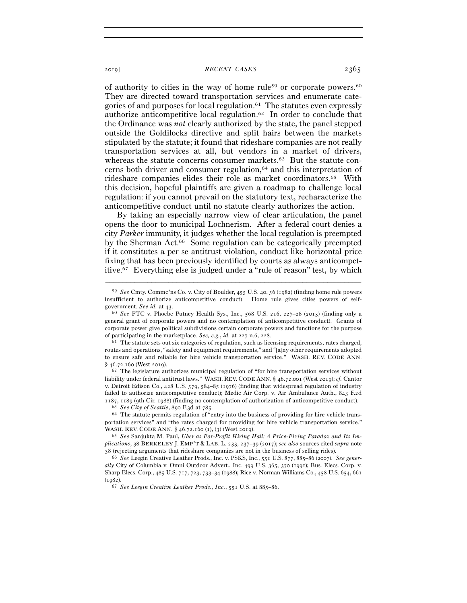of authority to cities in the way of home rule<sup>59</sup> or corporate powers.<sup>60</sup> They are directed toward transportation services and enumerate categories of and purposes for local regulation.<sup>61</sup> The statutes even expressly authorize anticompetitive local regulation.62 In order to conclude that the Ordinance was *not* clearly authorized by the state, the panel stepped outside the Goldilocks directive and split hairs between the markets stipulated by the statute; it found that rideshare companies are not really transportation services at all, but vendors in a market of drivers, whereas the statute concerns consumer markets.<sup>63</sup> But the statute concerns both driver and consumer regulation,64 and this interpretation of rideshare companies elides their role as market coordinators.65 With this decision, hopeful plaintiffs are given a roadmap to challenge local regulation: if you cannot prevail on the statutory text, recharacterize the anticompetitive conduct until no statute clearly authorizes the action.

By taking an especially narrow view of clear articulation, the panel opens the door to municipal Lochnerism. After a federal court denies a city *Parker* immunity, it judges whether the local regulation is preempted by the Sherman Act.<sup>66</sup> Some regulation can be categorically preempted if it constitutes a per se antitrust violation, conduct like horizontal price fixing that has been previously identified by courts as always anticompetitive.67 Everything else is judged under a "rule of reason" test, by which

–––––––––––––––––––––––––––––––––––––––––––––––––––––––––––––

liability under federal antitrust laws." WASH. REV. CODE ANN. § 46.72.001 (West 2019); *cf.* Cantor v. Detroit Edison Co., 428 U.S. 579, 584–85 (1976) (finding that widespread regulation of industry failed to authorize anticompetitive conduct); Medic Air Corp. v. Air Ambulance Auth., 843 F.2d  $1187, 1189$  (9th Cir. 1988) (finding no contemplation of authorization of anticompetitive conduct).<br>  $^{63}$  See City of Seattle, 890 F.3d at 785.<br>  $^{64}$  The statute permits regulation of "entry into the business of prov

portation services" and "the rates charged for providing for hire vehicle transportation service." WASH. REV. CODE ANN. § 46.72.160 (1), (3) (West <sup>2019</sup>). 65 *See* Sanjukta M. Paul, *Uber as For-Profit Hiring Hall: A Price-Fixing Paradox and Its Im-*

*plications*, 38 BERKELEY J. EMP'T & LAB. L. 233, 237–39 (2017); *see also* sources cited *supra* note 38 (rejecting arguments that rideshare companies are not in the business of selling rides).

<sup>66</sup> *See* Leegin Creative Leather Prods., Inc. v. PSKS, Inc., 551 U.S. 877, 885–86 (2007). *See generally* City of Columbia v. Omni Outdoor Advert., Inc. 499 U.S. 365, 370 (1991); Bus. Elecs. Corp. v. Sharp Elecs. Corp., 485 U.S. 717, 723, 733–34 (1988); Rice v. Norman Williams Co., 458 U.S. 654, 661 (<sup>1982</sup>). 67 *See Leegin Creative Leather Prods., Inc.*, 551 U.S. at 885–86.

<sup>59</sup> *See* Cmty. Commc'ns Co. v. City of Boulder, 455 U.S. 40, 56 (1982) (finding home rule powers insufficient to authorize anticompetitive conduct). Home rule gives cities powers of self-government. See  $id$ . at  $43$ .

<sup>&</sup>lt;sup>60</sup> See FTC v. Phoebe Putney Health Sys., Inc., 568 U.S. 216, 227-28 (2013) (finding only a general grant of corporate powers and no contemplation of anticompetitive conduct). Grants of corporate power give political subdivisions certain corporate powers and functions for the purpose of participating in the marketplace. *See, e.g.*, *id.* at 227 n.6, 228.<br><sup>61</sup> The statute sets out six categories of regulation, such as licensing requirements, rates charged,

routes and operations, "safety and equipment requirements," and "[a]ny other requirements adopted to ensure safe and reliable for hire vehicle transportation service." WASH. REV. CODE ANN.  $$46.72.160$  (West 2019).<br><sup>62</sup> The legislature authorizes municipal regulation of "for hire transportation services without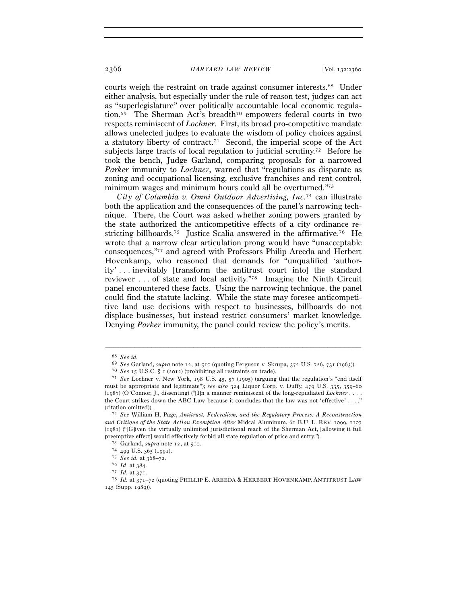## 2366 *HARVARD LAW REVIEW* [Vol. 132:<sup>2360</sup>

courts weigh the restraint on trade against consumer interests.68 Under either analysis, but especially under the rule of reason test, judges can act as "superlegislature" over politically accountable local economic regulation.69 The Sherman Act's breadth70 empowers federal courts in two respects reminiscent of *Lochner*. First, its broad pro-competitive mandate allows unelected judges to evaluate the wisdom of policy choices against a statutory liberty of contract.71 Second, the imperial scope of the Act subjects large tracts of local regulation to judicial scrutiny.<sup>72</sup> Before he took the bench, Judge Garland, comparing proposals for a narrowed *Parker* immunity to *Lochner*, warned that "regulations as disparate as zoning and occupational licensing, exclusive franchises and rent control, minimum wages and minimum hours could all be overturned."73

*City of Columbia v. Omni Outdoor Advertising, Inc.*74 can illustrate both the application and the consequences of the panel's narrowing technique. There, the Court was asked whether zoning powers granted by the state authorized the anticompetitive effects of a city ordinance restricting billboards.75 Justice Scalia answered in the affirmative.76 He wrote that a narrow clear articulation prong would have "unacceptable consequences,"77 and agreed with Professors Philip Areeda and Herbert Hovenkamp, who reasoned that demands for "unqualified 'authority' . . . inevitably [transform the antitrust court into] the standard reviewer . . . of state and local activity."78 Imagine the Ninth Circuit panel encountered these facts. Using the narrowing technique, the panel could find the statute lacking. While the state may foresee anticompetitive land use decisions with respect to businesses, billboards do not displace businesses, but instead restrict consumers' market knowledge. Denying *Parker* immunity, the panel could review the policy's merits.

<sup>68</sup> *See id.*

 $^{69}$  See Garland,  $supra$ note 12, at 510 (quoting Ferguson v. Skrupa, 372 U.S. 726, 731 (1963)).<br> $^{70}$  See 15 U.S.C. § 1 (2012) (prohibiting all restraints on trade).<br> $^{71}$  See Lochner v. New York, 198 U.S. 45, 57 (1905) must be appropriate and legitimate"); *see also* 324 Liquor Corp. v. Duffy, 479 U.S. 335, 359–60 (1987) (O'Connor, J., dissenting) ("[I]n a manner reminiscent of the long-repudiated *Lochner . . .* , the Court strikes down the ABC Law because it concludes that the law was not 'effective' . . . ." (citation omitted)). 72 *See* William H. Page, *Antitrust, Federalism, and the Regulatory Process: A Reconstruction* 

*and Critique of the State Action Exemption After* Midcal Aluminum, 61 B.U. L. REV. 1099, 1107 (1981) ("[G]iven the virtually unlimited jurisdictional reach of the Sherman Act, [allowing it full preemptive effect] would effectively forbid all state regulation of price and entry.").<br>
<sup>73</sup> Garland, *supra* note 12, at 510.<br>
<sup>74</sup> 499 U.S. 365 (1991).<br>
<sup>75</sup> *See id.* at 368–72.<br>
<sup>75</sup> *Id.* at 384.<br>
<sup>77</sup> *Id.* at 371.<br>

<sup>145</sup> (Supp. 1989)).